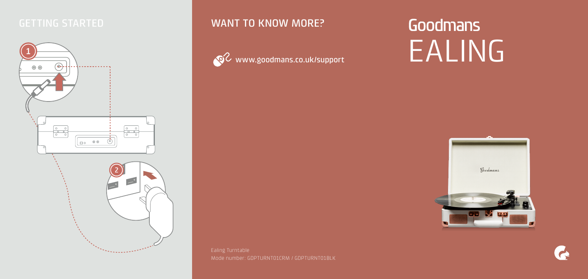

### GETTING STARTED **WANT TO KNOW MORE?**



# Goodmans EALING



Mode number: GDPTURNT01CRM / GDPTURNT01BLK